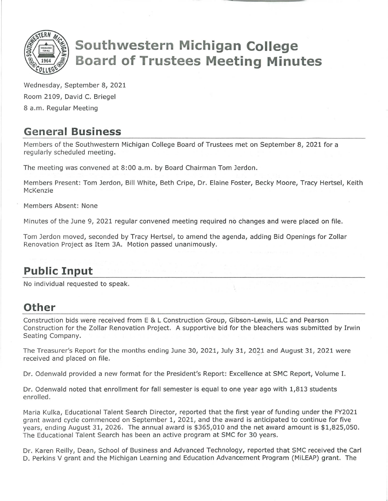

# **Southwestern Michigan College Board of Trustees Meeting Minutes**

Wednesday, September 8, 2021 Room 2109, David C. Briegel 8 a.m. Regular Meeting

# **General Business**

Members of the Southwestern Michigan College Board of Trustees met on September 8, 2021 for a regularly scheduled meeting.

The meeting was convened at 8:00 a.m. by Board Chairman Tom Jerdon.

Members Present: Tom Jerdon, Bill White, Beth Cripe, Dr. Elaine Foster, Becky Moore, Tracy Hertsel, Keith McKenzie

Members Absent: None

Minutes of the June 9, 2021 regular convened meeting required no changes and were placed on file.

Tom Jerdon moved, seconded by Tracy Hertsel, to amend the agenda, adding Bid Openings for Zollar Renovation Project as Item 3A. Motion passed unanimously.

# **Public Input**

No individual requested to speak.

## **Other**

Construction bids were received from E & L Construction Group, Gibson-Lewis, LLC and Pearson Construction for the Zollar Renovation Project. A supportive bid for the bleachers was submitted by Irwin Seating Company.

The Treasurer's Report for the months ending June 30, 2021, Ju!y 31, 2021 and August 31, 2021 were received and placed on file.

Dr. Odenwald provided a new format for the President's Report: Excellence at SMC Report, Volume I.

Dr. Odenwald noted that enrollment for fall semester is equal to one year ago with 1,813 students enrolled.

Maria Kulka, Educational Talent Search Director, reported that the first year of funding under the FY2021 grant award cycle commenced on September 1, 2021, and the award is anticipated to continue for five years, ending August 31, 2026. The annual award is \$365,010 and the net award amount is \$1,825,050. The Educational Talent Search has been an active program at SMC for 30 years.

Dr. Karen Reilly, Dean, School of Business and Advanced Technology, reported that SMC received the Carl D. Perkins V grant and the Michigan Learning and Education Advancement Program (MiLEAP) grant. The